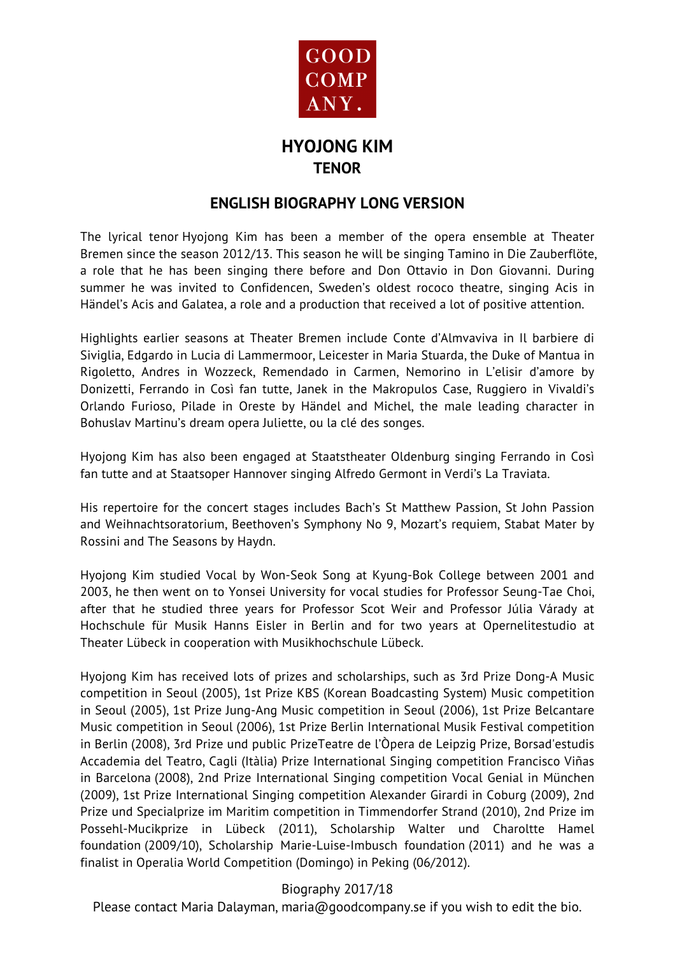

## **HYOJONG KIM TENOR**

### **ENGLISH BIOGRAPHY LONG VERSION**

The lyrical tenor Hyojong Kim has been a member of the opera ensemble at Theater Bremen since the season 2012/13. This season he will be singing Tamino in Die Zauberflöte, a role that he has been singing there before and Don Ottavio in Don Giovanni. During summer he was invited to Confidencen, Sweden's oldest rococo theatre, singing Acis in Händel's Acis and Galatea, a role and a production that received a lot of positive attention.

Highlights earlier seasons at Theater Bremen include Conte d'Almvaviva in Il barbiere di Siviglia, Edgardo in Lucia di Lammermoor, Leicester in Maria Stuarda, the Duke of Mantua in Rigoletto, Andres in Wozzeck, Remendado in Carmen, Nemorino in L'elisir d'amore by Donizetti, Ferrando in Così fan tutte, Janek in the Makropulos Case, Ruggiero in Vivaldi's Orlando Furioso, Pilade in Oreste by Händel and Michel, the male leading character in Bohuslav Martinu's dream opera Juliette, ou la clé des songes.

Hyojong Kim has also been engaged at Staatstheater Oldenburg singing Ferrando in Così fan tutte and at Staatsoper Hannover singing Alfredo Germont in Verdi's La Traviata.

His repertoire for the concert stages includes Bach's St Matthew Passion, St John Passion and Weihnachtsoratorium, Beethoven's Symphony No 9, Mozart's requiem, Stabat Mater by Rossini and The Seasons by Haydn.

Hyojong Kim studied Vocal by Won-Seok Song at Kyung-Bok College between 2001 and 2003, he then went on to Yonsei University for vocal studies for Professor Seung-Tae Choi, after that he studied three years for Professor Scot Weir and Professor Júlia Várady at Hochschule für Musik Hanns Eisler in Berlin and for two years at Opernelitestudio at Theater Lübeck in cooperation with Musikhochschule Lübeck.

Hyojong Kim has received lots of prizes and scholarships, such as 3rd Prize Dong-A Music competition in Seoul (2005), 1st Prize KBS (Korean Boadcasting System) Music competition in Seoul (2005), 1st Prize Jung-Ang Music competition in Seoul (2006), 1st Prize Belcantare Music competition in Seoul (2006), 1st Prize Berlin International Musik Festival competition in Berlin (2008), 3rd Prize und public PrizeTeatre de l'Òpera de Leipzig Prize, Borsad'estudis Accademia del Teatro, Cagli (Itàlia) Prize International Singing competition Francisco Viñas in Barcelona (2008), 2nd Prize International Singing competition Vocal Genial in München (2009), 1st Prize International Singing competition Alexander Girardi in Coburg (2009), 2nd Prize und Specialprize im Maritim competition in Timmendorfer Strand (2010), 2nd Prize im Possehl-Mucikprize in Lübeck (2011), Scholarship Walter und Charoltte Hamel foundation (2009/10), Scholarship Marie-Luise-Imbusch foundation (2011) and he was a finalist in Operalia World Competition (Domingo) in Peking (06/2012).

#### Biography 2017/18

Please contact Maria Dalayman, maria@goodcompany.se if you wish to edit the bio.